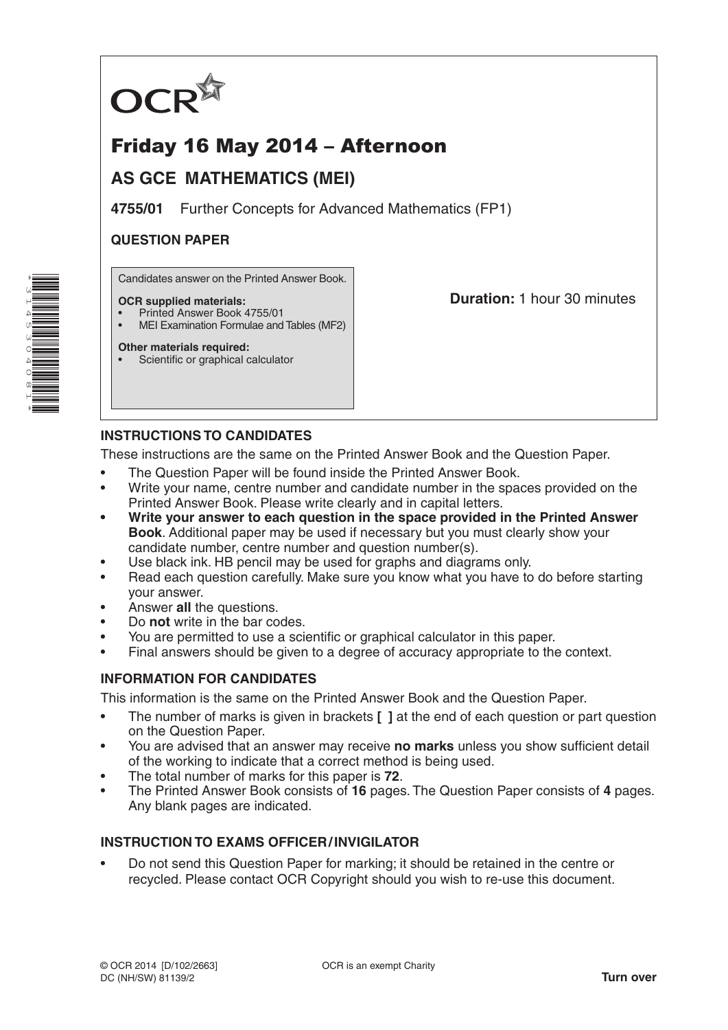

# Friday 16 May 2014 – Afternoon

## **AS GCE MATHEMATICS (MEI)**

**4755/01** Further Concepts for Advanced Mathematics (FP1)

#### **QUESTION PAPER**

Candidates answer on the Printed Answer Book.

#### **OCR supplied materials:**

- Printed Answer Book 4755/01
- MEI Examination Formulae and Tables (MF2)

**Other materials required:** Scientific or graphical calculator **Duration:** 1 hour 30 minutes

## **INSTRUCTIONS TO CANDIDATES**

These instructions are the same on the Printed Answer Book and the Question Paper.

- The Question Paper will be found inside the Printed Answer Book.
- Write your name, centre number and candidate number in the spaces provided on the Printed Answer Book. Please write clearly and in capital letters.
- **• Write your answer to each question in the space provided in the Printed Answer Book**. Additional paper may be used if necessary but you must clearly show your candidate number, centre number and question number(s).
- Use black ink. HB pencil may be used for graphs and diagrams only.
- Read each question carefully. Make sure you know what you have to do before starting your answer.
- Answer **all** the questions.
- Do **not** write in the bar codes.
- You are permitted to use a scientific or graphical calculator in this paper.
- Final answers should be given to a degree of accuracy appropriate to the context.

## **INFORMATION FOR CANDIDATES**

This information is the same on the Printed Answer Book and the Question Paper.

- The number of marks is given in brackets **[ ]** at the end of each question or part question on the Question Paper.
- You are advised that an answer may receive **no marks** unless you show sufficient detail of the working to indicate that a correct method is being used.
- The total number of marks for this paper is **72**.
- The Printed Answer Book consists of **16** pages. The Question Paper consists of **4** pages. Any blank pages are indicated.

## **INSTRUCTION TO EXAMS OFFICER/INVIGILATOR**

• Do not send this Question Paper for marking; it should be retained in the centre or recycled. Please contact OCR Copyright should you wish to re-use this document.

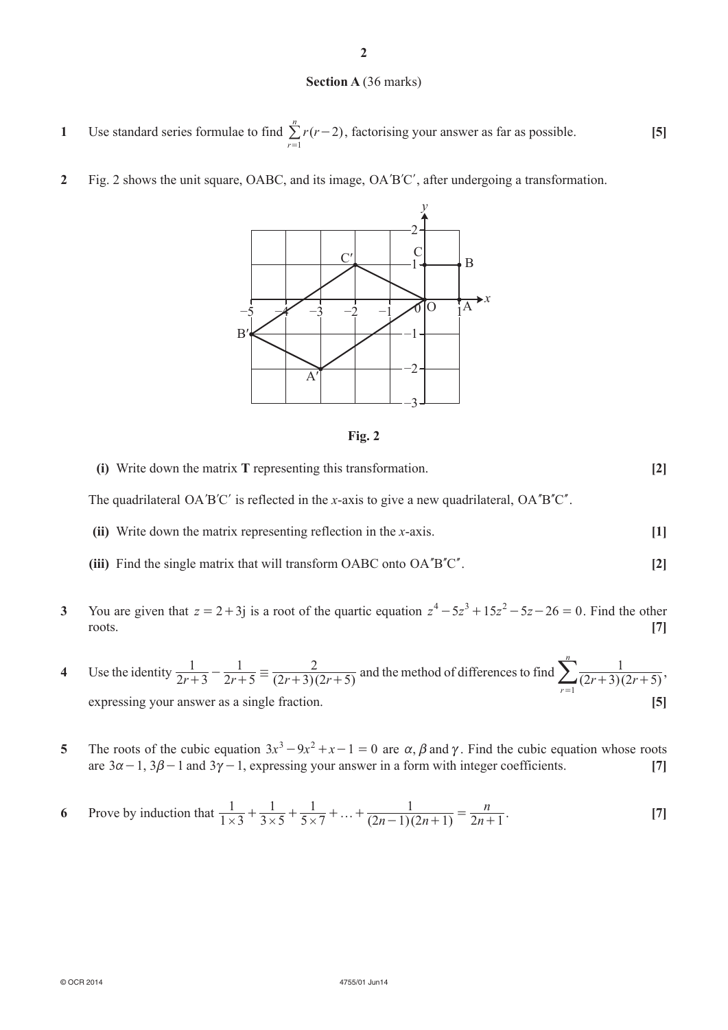#### **Section A** (36 marks)

- **1** Use standard series formulae to find  $\sum r(r-2)$ *r n* 1 -  $\sum_{r=1}^{6} r(r-2)$ , factorising your answer as far as possible. **[5]**
- **2** Fig. 2 shows the unit square, OABC, and its image, OA'B'C', after undergoing a transformation.





- **(i)** Write down the matrix **T** representing this transformation. **[2]** The quadrilateral  $OA'B'C'$  is reflected in the *x*-axis to give a new quadrilateral,  $OA''B'C''$ .
- 
- **(ii)** Write down the matrix representing reflection in the *x*-axis. **[1]**
	- (iii) Find the single matrix that will transform OABC onto  $OA<sup>n</sup>B<sup>n</sup>C<sup>n</sup>$ . [2]
- **3** You are given that  $z = 2 + 3i$  is a root of the quartic equation  $z^4 5z^3 + 15z^2 5z 26 = 0$ . Find the other roots. **[7]**
- **4** Use the identity  $\frac{1}{2r+3} \frac{1}{2r+5} = \frac{2}{(2r+3)(2r+5)}$  $2r + 5$ 1  $(2r+3)(2r+5)$  $\frac{1}{2r+3} - \frac{1}{2r+5} \equiv \frac{2}{(2r+3)(2r+5)}$  and the method of differences to find  $\sum_{r=1}^{\infty} \frac{1}{(2r+3)(2r+5)}$ *r n*  $\sum_{r=1}^{n} \frac{1}{(2r+3)(2r+5)},$ expressing your answer as a single fraction. **[5]**
- **5** The roots of the cubic equation  $3x^3 9x^2 + x 1 = 0$  are  $\alpha$ ,  $\beta$  and  $\gamma$ . Find the cubic equation whose roots are  $3\alpha - 1$ ,  $3\beta - 1$  and  $3\gamma - 1$ , expressing your answer in a form with integer coefficients. [7]
- **6** Prove by induction that  $\frac{1}{1 \times 3} + \frac{1}{3 \times 5} + \frac{1}{5 \times 7} + \dots + \frac{1}{(2n-1)(2n+1)} = \frac{n}{2n-1}$  $1 \times 3$ 1 3 1  $5 \times 7$ 1  $(2n - 1)(2n + 1)$  $\frac{1}{\times 3} + \frac{1}{3 \times 5} + \frac{1}{5 \times 7} + \dots + \frac{1}{(2n-1)(2n+1)} = \frac{n}{2n+1}.$  [7]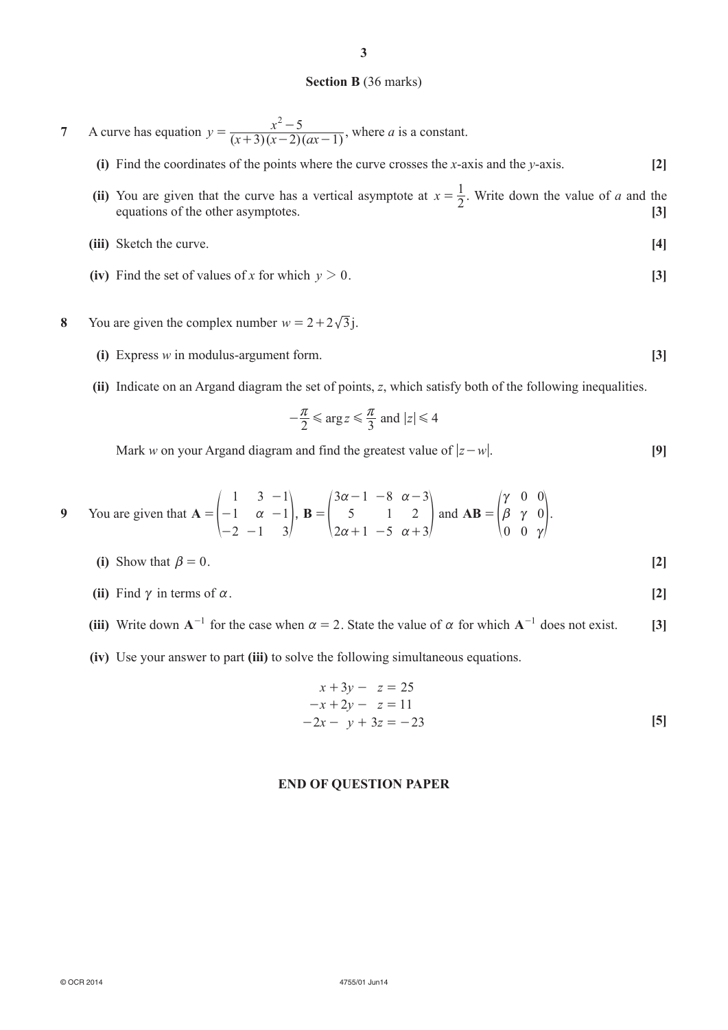#### **Section B** (36 marks)

- **7** A curve has equation  $y = \frac{x^2 5}{(x+3)(x-2)(ax-1)}$  $3(x-2)(ax-1)$  $=\frac{x^2-5}{(x+3)(x-2)(ax-1)}$ , where *a* is a constant.
	- **(i)** Find the coordinates of the points where the curve crosses the *x*-axis and the *y*-axis. **[2]**
	- (ii) You are given that the curve has a vertical asymptote at  $x = \frac{1}{2}$ . Write down the value of *a* and the constitution of the other constitution equations of the other asymptotes. **[3]**
	- **(iii)** Sketch the curve. **[4]**
	- (iv) Find the set of values of *x* for which  $y > 0$ . [3]
- **8** You are given the complex number  $w = 2 + 2\sqrt{3}$ j.
	- **(i)** Express *w* in modulus-argument form. **[3]**
	- **(ii)** Indicate on an Argand diagram the set of points, *z*, which satisfy both of the following inequalities.

$$
-\frac{\pi}{2} \le \arg z \le \frac{\pi}{3} \text{ and } |z| \le 4
$$

Mark *w* on your Argand diagram and find the greatest value of  $|z-w|$ . [9]

9 You are given that 
$$
\mathbf{A} = \begin{pmatrix} 1 & 3 & -1 \\ -1 & \alpha & -1 \\ -2 & -1 & 3 \end{pmatrix}
$$
,  $\mathbf{B} = \begin{pmatrix} 3\alpha - 1 & -8 & \alpha - 3 \\ 5 & 1 & 2 \\ 2\alpha + 1 & -5 & \alpha + 3 \end{pmatrix}$  and  $\mathbf{AB} = \begin{pmatrix} \gamma & 0 & 0 \\ \beta & \gamma & 0 \\ 0 & 0 & \gamma \end{pmatrix}$ .

(i) Show that 
$$
\beta = 0
$$
. [2]

- **(ii)** Find  $\gamma$  in terms of  $\alpha$ . **[2]**
- (iii) Write down  $A^{-1}$  for the case when  $\alpha = 2$ . State the value of  $\alpha$  for which  $A^{-1}$  does not exist. [3]
- **(iv)** Use your answer to part **(iii)** to solve the following simultaneous equations.

$$
x + 3y - z = 25\n-x + 2y - z = 11\n-2x - y + 3z = -23
$$
\n[5]

#### **END OF QUESTION PAPER**